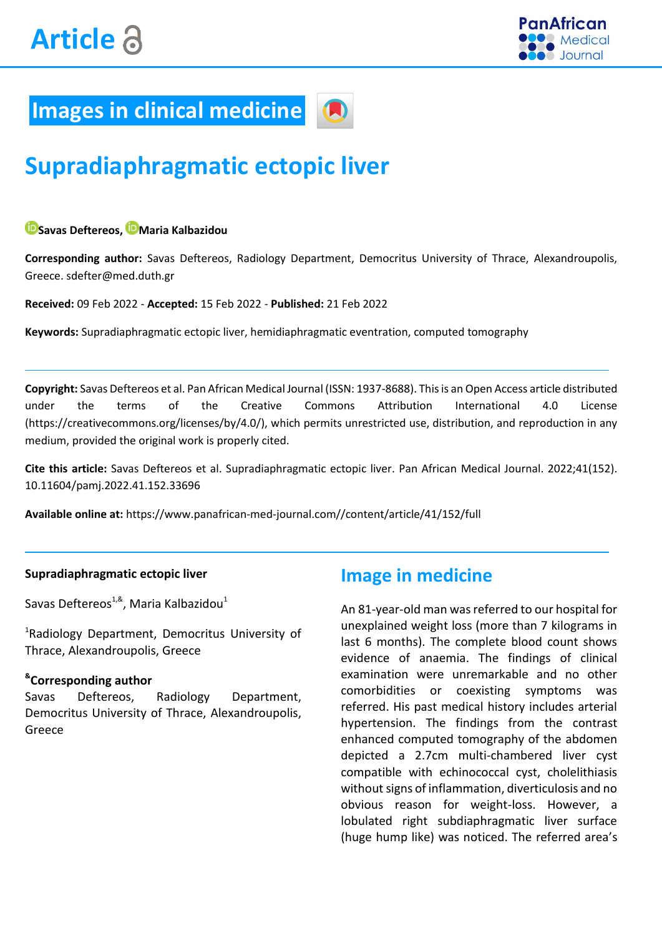

## **Images in clinical medicine**

# **Supradiaphragmatic ectopic liver**

#### **Savas Deftereos, [M](https://orcid.org/0000-0002-6996-9237)aria Kalbazidou**

**Corresponding author:** Savas Deftereos, Radiology Department, Democritus University of Thrace, Alexandroupolis, Greece. sdefter@med.duth.gr

**Received:** 09 Feb 2022 - **Accepted:** 15 Feb 2022 - **Published:** 21 Feb 2022

**Keywords:** Supradiaphragmatic ectopic liver, hemidiaphragmatic eventration, computed tomography

**Copyright:** Savas Deftereos et al. Pan African Medical Journal (ISSN: 1937-8688). This is an Open Access article distributed under the terms of the Creative Commons Attribution International 4.0 License (https://creativecommons.org/licenses/by/4.0/), which permits unrestricted use, distribution, and reproduction in any medium, provided the original work is properly cited.

**Cite this article:** Savas Deftereos et al. Supradiaphragmatic ectopic liver. Pan African Medical Journal. 2022;41(152). [10.11604/pamj.2022.41.152.33696](https://doi.org/10.11604/pamj.2022.41.152.33696)

**Available online at:** https://www.panafrican-med-journal.com//content/article/41/152/full

#### **Supradiaphragmatic ectopic liver**

Savas Deftereos $^{1,8}$ , Maria Kalbazidou $^1$ 

<sup>1</sup>Radiology Department, Democritus University of Thrace, Alexandroupolis, Greece

#### **& Corresponding author**

Savas Deftereos, Radiology Department, Democritus University of Thrace, Alexandroupolis, Greece

### **Image in medicine**

An 81-year-old man was referred to our hospital for unexplained weight loss (more than 7 kilograms in last 6 months). The complete blood count shows evidence of anaemia. The findings of clinical examination were unremarkable and no other comorbidities or coexisting symptoms was referred. His past medical history includes arterial hypertension. The findings from the contrast enhanced computed tomography of the abdomen depicted a 2.7cm multi-chambered liver cyst compatible with echinococcal cyst, cholelithiasis without signs of inflammation, diverticulosis and no obvious reason for weight-loss. However, a lobulated right subdiaphragmatic liver surface (huge hump like) was noticed. The referred area's